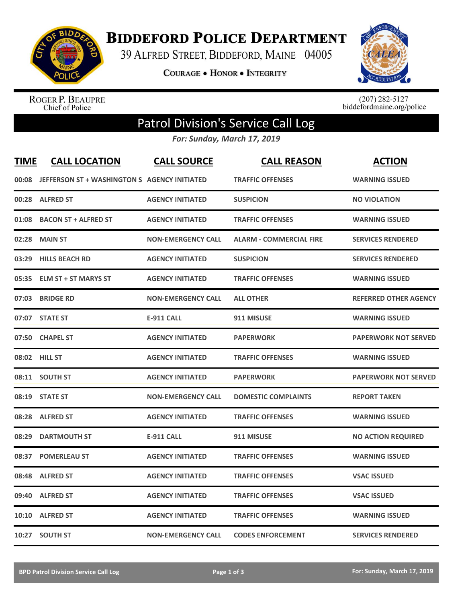

**BIDDEFORD POLICE DEPARTMENT** 

39 ALFRED STREET, BIDDEFORD, MAINE 04005

**COURAGE . HONOR . INTEGRITY** 



ROGER P. BEAUPRE<br>Chief of Police

 $(207)$  282-5127<br>biddefordmaine.org/police

## Patrol Division's Service Call Log

*For: Sunday, March 17, 2019*

| <b>TIME</b> | <b>CALL LOCATION</b>                         | <b>CALL SOURCE</b>        | <b>CALL REASON</b>             | <b>ACTION</b>                |
|-------------|----------------------------------------------|---------------------------|--------------------------------|------------------------------|
| 00:08       | JEFFERSON ST + WASHINGTON S AGENCY INITIATED |                           | <b>TRAFFIC OFFENSES</b>        | <b>WARNING ISSUED</b>        |
| 00:28       | <b>ALFRED ST</b>                             | <b>AGENCY INITIATED</b>   | <b>SUSPICION</b>               | <b>NO VIOLATION</b>          |
| 01:08       | <b>BACON ST + ALFRED ST</b>                  | <b>AGENCY INITIATED</b>   | <b>TRAFFIC OFFENSES</b>        | <b>WARNING ISSUED</b>        |
| 02:28       | <b>MAIN ST</b>                               | <b>NON-EMERGENCY CALL</b> | <b>ALARM - COMMERCIAL FIRE</b> | <b>SERVICES RENDERED</b>     |
| 03:29       | <b>HILLS BEACH RD</b>                        | <b>AGENCY INITIATED</b>   | <b>SUSPICION</b>               | <b>SERVICES RENDERED</b>     |
| 05:35       | <b>ELM ST + ST MARYS ST</b>                  | <b>AGENCY INITIATED</b>   | <b>TRAFFIC OFFENSES</b>        | <b>WARNING ISSUED</b>        |
| 07:03       | <b>BRIDGE RD</b>                             | <b>NON-EMERGENCY CALL</b> | <b>ALL OTHER</b>               | <b>REFERRED OTHER AGENCY</b> |
| 07:07       | <b>STATE ST</b>                              | <b>E-911 CALL</b>         | 911 MISUSE                     | <b>WARNING ISSUED</b>        |
| 07:50       | <b>CHAPEL ST</b>                             | <b>AGENCY INITIATED</b>   | <b>PAPERWORK</b>               | <b>PAPERWORK NOT SERVED</b>  |
| 08:02       | <b>HILL ST</b>                               | <b>AGENCY INITIATED</b>   | <b>TRAFFIC OFFENSES</b>        | <b>WARNING ISSUED</b>        |
|             | 08:11 SOUTH ST                               | <b>AGENCY INITIATED</b>   | <b>PAPERWORK</b>               | <b>PAPERWORK NOT SERVED</b>  |
| 08:19       | <b>STATE ST</b>                              | <b>NON-EMERGENCY CALL</b> | <b>DOMESTIC COMPLAINTS</b>     | <b>REPORT TAKEN</b>          |
| 08:28       | <b>ALFRED ST</b>                             | <b>AGENCY INITIATED</b>   | <b>TRAFFIC OFFENSES</b>        | <b>WARNING ISSUED</b>        |
| 08:29       | <b>DARTMOUTH ST</b>                          | <b>E-911 CALL</b>         | 911 MISUSE                     | <b>NO ACTION REQUIRED</b>    |
| 08:37       | <b>POMERLEAU ST</b>                          | <b>AGENCY INITIATED</b>   | <b>TRAFFIC OFFENSES</b>        | <b>WARNING ISSUED</b>        |
| 08:48       | <b>ALFRED ST</b>                             | <b>AGENCY INITIATED</b>   | <b>TRAFFIC OFFENSES</b>        | <b>VSAC ISSUED</b>           |
| 09:40       | <b>ALFRED ST</b>                             | <b>AGENCY INITIATED</b>   | <b>TRAFFIC OFFENSES</b>        | <b>VSAC ISSUED</b>           |
| 10:10       | <b>ALFRED ST</b>                             | <b>AGENCY INITIATED</b>   | <b>TRAFFIC OFFENSES</b>        | <b>WARNING ISSUED</b>        |
|             | 10:27 SOUTH ST                               | <b>NON-EMERGENCY CALL</b> | <b>CODES ENFORCEMENT</b>       | <b>SERVICES RENDERED</b>     |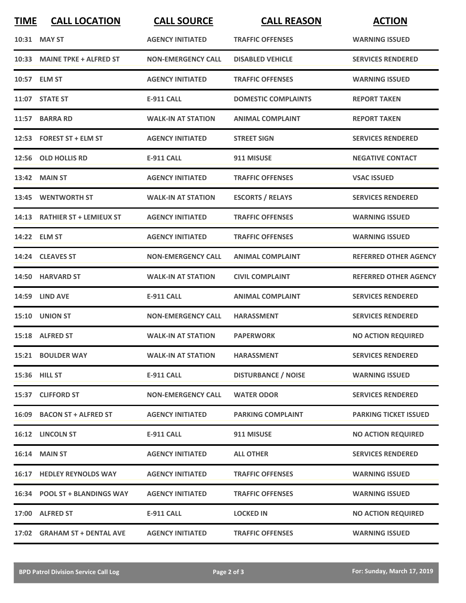| <b>TIME</b> | <b>CALL LOCATION</b>          | <b>CALL SOURCE</b>        | <b>CALL REASON</b>         | <b>ACTION</b>                |
|-------------|-------------------------------|---------------------------|----------------------------|------------------------------|
|             | 10:31 MAY ST                  | <b>AGENCY INITIATED</b>   | <b>TRAFFIC OFFENSES</b>    | <b>WARNING ISSUED</b>        |
|             | 10:33 MAINE TPKE + ALFRED ST  | <b>NON-EMERGENCY CALL</b> | <b>DISABLED VEHICLE</b>    | <b>SERVICES RENDERED</b>     |
|             | 10:57 ELM ST                  | <b>AGENCY INITIATED</b>   | <b>TRAFFIC OFFENSES</b>    | <b>WARNING ISSUED</b>        |
|             | 11:07 STATE ST                | <b>E-911 CALL</b>         | <b>DOMESTIC COMPLAINTS</b> | <b>REPORT TAKEN</b>          |
|             | 11:57 BARRA RD                | <b>WALK-IN AT STATION</b> | <b>ANIMAL COMPLAINT</b>    | <b>REPORT TAKEN</b>          |
|             | 12:53 FOREST ST + ELM ST      | <b>AGENCY INITIATED</b>   | <b>STREET SIGN</b>         | <b>SERVICES RENDERED</b>     |
|             | 12:56 OLD HOLLIS RD           | <b>E-911 CALL</b>         | 911 MISUSE                 | <b>NEGATIVE CONTACT</b>      |
|             | <b>13:42 MAIN ST</b>          | <b>AGENCY INITIATED</b>   | <b>TRAFFIC OFFENSES</b>    | <b>VSAC ISSUED</b>           |
|             | 13:45 WENTWORTH ST            | <b>WALK-IN AT STATION</b> | <b>ESCORTS / RELAYS</b>    | <b>SERVICES RENDERED</b>     |
|             | 14:13 RATHIER ST + LEMIEUX ST | <b>AGENCY INITIATED</b>   | <b>TRAFFIC OFFENSES</b>    | <b>WARNING ISSUED</b>        |
|             | 14:22 ELM ST                  | <b>AGENCY INITIATED</b>   | <b>TRAFFIC OFFENSES</b>    | <b>WARNING ISSUED</b>        |
|             | 14:24 CLEAVES ST              | <b>NON-EMERGENCY CALL</b> | <b>ANIMAL COMPLAINT</b>    | <b>REFERRED OTHER AGENCY</b> |
| 14:50       | <b>HARVARD ST</b>             | <b>WALK-IN AT STATION</b> | <b>CIVIL COMPLAINT</b>     | <b>REFERRED OTHER AGENCY</b> |
| 14:59       | <b>LIND AVE</b>               | <b>E-911 CALL</b>         | <b>ANIMAL COMPLAINT</b>    | <b>SERVICES RENDERED</b>     |
|             | 15:10 UNION ST                | <b>NON-EMERGENCY CALL</b> | <b>HARASSMENT</b>          | <b>SERVICES RENDERED</b>     |
|             | 15:18 ALFRED ST               | <b>WALK-IN AT STATION</b> | <b>PAPERWORK</b>           | <b>NO ACTION REQUIRED</b>    |
|             | 15:21 BOULDER WAY             | <b>WALK-IN AT STATION</b> | <b>HARASSMENT</b>          | <b>SERVICES RENDERED</b>     |
|             | 15:36 HILL ST                 | <b>E-911 CALL</b>         | <b>DISTURBANCE / NOISE</b> | <b>WARNING ISSUED</b>        |
|             | 15:37 CLIFFORD ST             | <b>NON-EMERGENCY CALL</b> | <b>WATER ODOR</b>          | <b>SERVICES RENDERED</b>     |
|             | 16:09 BACON ST + ALFRED ST    | <b>AGENCY INITIATED</b>   | <b>PARKING COMPLAINT</b>   | <b>PARKING TICKET ISSUED</b> |
|             | 16:12 LINCOLN ST              | E-911 CALL                | 911 MISUSE                 | <b>NO ACTION REQUIRED</b>    |
|             | <b>16:14 MAIN ST</b>          | <b>AGENCY INITIATED</b>   | <b>ALL OTHER</b>           | <b>SERVICES RENDERED</b>     |
|             | 16:17 HEDLEY REYNOLDS WAY     | <b>AGENCY INITIATED</b>   | <b>TRAFFIC OFFENSES</b>    | <b>WARNING ISSUED</b>        |
|             | 16:34 POOL ST + BLANDINGS WAY | <b>AGENCY INITIATED</b>   | <b>TRAFFIC OFFENSES</b>    | <b>WARNING ISSUED</b>        |
|             | 17:00 ALFRED ST               | <b>E-911 CALL</b>         | <b>LOCKED IN</b>           | <b>NO ACTION REQUIRED</b>    |
|             | 17:02 GRAHAM ST + DENTAL AVE  | <b>AGENCY INITIATED</b>   | <b>TRAFFIC OFFENSES</b>    | <b>WARNING ISSUED</b>        |